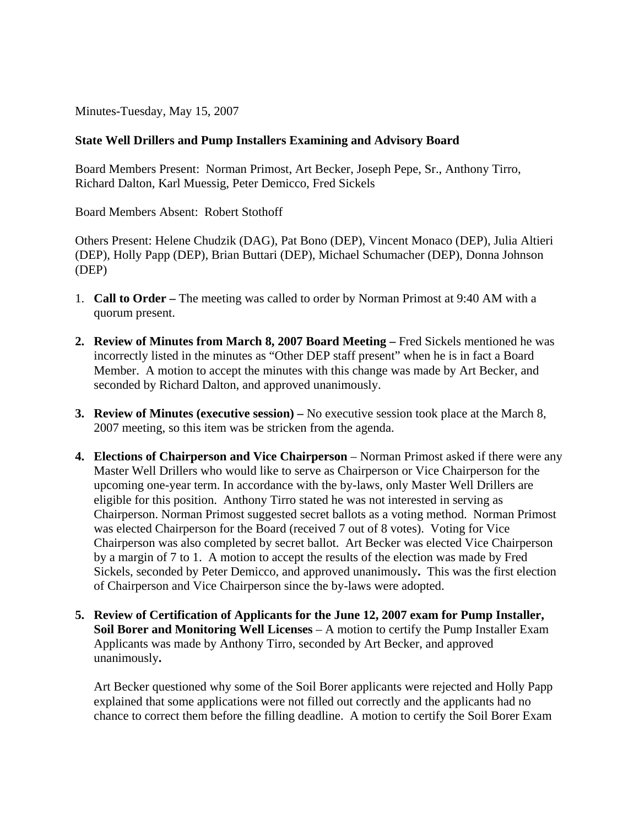Minutes-Tuesday, May 15, 2007

## **State Well Drillers and Pump Installers Examining and Advisory Board**

Board Members Present: Norman Primost, Art Becker, Joseph Pepe, Sr., Anthony Tirro, Richard Dalton, Karl Muessig, Peter Demicco, Fred Sickels

Board Members Absent: Robert Stothoff

Others Present: Helene Chudzik (DAG), Pat Bono (DEP), Vincent Monaco (DEP), Julia Altieri (DEP), Holly Papp (DEP), Brian Buttari (DEP), Michael Schumacher (DEP), Donna Johnson (DEP)

- 1. **Call to Order** The meeting was called to order by Norman Primost at 9:40 AM with a quorum present.
- **2. Review of Minutes from March 8, 2007 Board Meeting Fred Sickels mentioned he was** incorrectly listed in the minutes as "Other DEP staff present" when he is in fact a Board Member. A motion to accept the minutes with this change was made by Art Becker, and seconded by Richard Dalton, and approved unanimously.
- **3. Review of Minutes (executive session)** No executive session took place at the March 8, 2007 meeting, so this item was be stricken from the agenda.
- **4. Elections of Chairperson and Vice Chairperson** Norman Primost asked if there were any Master Well Drillers who would like to serve as Chairperson or Vice Chairperson for the upcoming one-year term. In accordance with the by-laws, only Master Well Drillers are eligible for this position. Anthony Tirro stated he was not interested in serving as Chairperson. Norman Primost suggested secret ballots as a voting method. Norman Primost was elected Chairperson for the Board (received 7 out of 8 votes). Voting for Vice Chairperson was also completed by secret ballot. Art Becker was elected Vice Chairperson by a margin of 7 to 1. A motion to accept the results of the election was made by Fred Sickels, seconded by Peter Demicco, and approved unanimously**.** This was the first election of Chairperson and Vice Chairperson since the by-laws were adopted.
- **5. Review of Certification of Applicants for the June 12, 2007 exam for Pump Installer, Soil Borer and Monitoring Well Licenses** – A motion to certify the Pump Installer Exam Applicants was made by Anthony Tirro, seconded by Art Becker, and approved unanimously**.**

Art Becker questioned why some of the Soil Borer applicants were rejected and Holly Papp explained that some applications were not filled out correctly and the applicants had no chance to correct them before the filling deadline. A motion to certify the Soil Borer Exam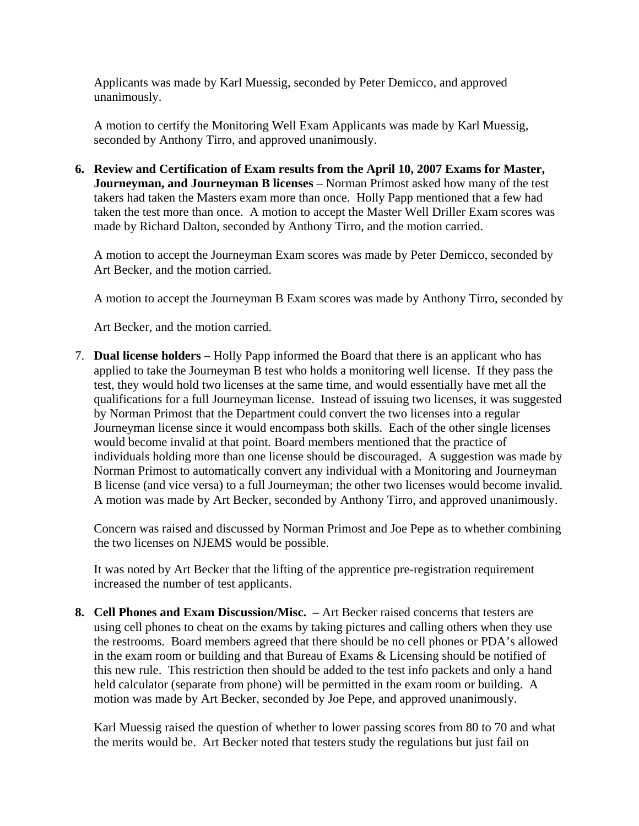Applicants was made by Karl Muessig, seconded by Peter Demicco, and approved unanimously.

A motion to certify the Monitoring Well Exam Applicants was made by Karl Muessig, seconded by Anthony Tirro, and approved unanimously.

**6. Review and Certification of Exam results from the April 10, 2007 Exams for Master, Journeyman, and Journeyman B licenses** – Norman Primost asked how many of the test takers had taken the Masters exam more than once. Holly Papp mentioned that a few had taken the test more than once. A motion to accept the Master Well Driller Exam scores was made by Richard Dalton, seconded by Anthony Tirro, and the motion carried.

A motion to accept the Journeyman Exam scores was made by Peter Demicco, seconded by Art Becker, and the motion carried.

A motion to accept the Journeyman B Exam scores was made by Anthony Tirro, seconded by

Art Becker, and the motion carried.

7. **Dual license holders** – Holly Papp informed the Board that there is an applicant who has applied to take the Journeyman B test who holds a monitoring well license. If they pass the test, they would hold two licenses at the same time, and would essentially have met all the qualifications for a full Journeyman license. Instead of issuing two licenses, it was suggested by Norman Primost that the Department could convert the two licenses into a regular Journeyman license since it would encompass both skills. Each of the other single licenses would become invalid at that point. Board members mentioned that the practice of individuals holding more than one license should be discouraged. A suggestion was made by Norman Primost to automatically convert any individual with a Monitoring and Journeyman B license (and vice versa) to a full Journeyman; the other two licenses would become invalid. A motion was made by Art Becker, seconded by Anthony Tirro, and approved unanimously.

Concern was raised and discussed by Norman Primost and Joe Pepe as to whether combining the two licenses on NJEMS would be possible.

It was noted by Art Becker that the lifting of the apprentice pre-registration requirement increased the number of test applicants.

**8. Cell Phones and Exam Discussion/Misc. –** Art Becker raised concerns that testers are using cell phones to cheat on the exams by taking pictures and calling others when they use the restrooms. Board members agreed that there should be no cell phones or PDA's allowed in the exam room or building and that Bureau of Exams & Licensing should be notified of this new rule. This restriction then should be added to the test info packets and only a hand held calculator (separate from phone) will be permitted in the exam room or building. A motion was made by Art Becker, seconded by Joe Pepe, and approved unanimously.

Karl Muessig raised the question of whether to lower passing scores from 80 to 70 and what the merits would be. Art Becker noted that testers study the regulations but just fail on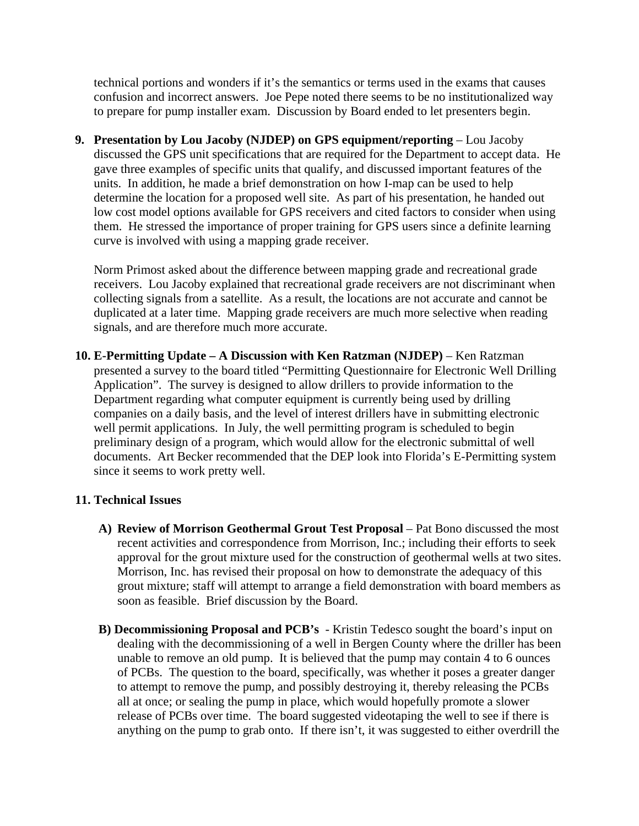technical portions and wonders if it's the semantics or terms used in the exams that causes confusion and incorrect answers. Joe Pepe noted there seems to be no institutionalized way to prepare for pump installer exam. Discussion by Board ended to let presenters begin.

**9. Presentation by Lou Jacoby (NJDEP) on GPS equipment/reporting** – Lou Jacoby discussed the GPS unit specifications that are required for the Department to accept data. He gave three examples of specific units that qualify, and discussed important features of the units. In addition, he made a brief demonstration on how I-map can be used to help determine the location for a proposed well site. As part of his presentation, he handed out low cost model options available for GPS receivers and cited factors to consider when using them. He stressed the importance of proper training for GPS users since a definite learning curve is involved with using a mapping grade receiver.

Norm Primost asked about the difference between mapping grade and recreational grade receivers. Lou Jacoby explained that recreational grade receivers are not discriminant when collecting signals from a satellite. As a result, the locations are not accurate and cannot be duplicated at a later time. Mapping grade receivers are much more selective when reading signals, and are therefore much more accurate.

**10. E-Permitting Update – A Discussion with Ken Ratzman (NJDEP)** – Ken Ratzman presented a survey to the board titled "Permitting Questionnaire for Electronic Well Drilling Application". The survey is designed to allow drillers to provide information to the Department regarding what computer equipment is currently being used by drilling companies on a daily basis, and the level of interest drillers have in submitting electronic well permit applications. In July, the well permitting program is scheduled to begin preliminary design of a program, which would allow for the electronic submittal of well documents. Art Becker recommended that the DEP look into Florida's E-Permitting system since it seems to work pretty well.

## **11. Technical Issues**

- **A) Review of Morrison Geothermal Grout Test Proposal**  Pat Bono discussed the most recent activities and correspondence from Morrison, Inc.; including their efforts to seek approval for the grout mixture used for the construction of geothermal wells at two sites. Morrison, Inc. has revised their proposal on how to demonstrate the adequacy of this grout mixture; staff will attempt to arrange a field demonstration with board members as soon as feasible. Brief discussion by the Board.
- **B) Decommissioning Proposal and PCB's**  Kristin Tedesco sought the board's input on dealing with the decommissioning of a well in Bergen County where the driller has been unable to remove an old pump. It is believed that the pump may contain 4 to 6 ounces of PCBs. The question to the board, specifically, was whether it poses a greater danger to attempt to remove the pump, and possibly destroying it, thereby releasing the PCBs all at once; or sealing the pump in place, which would hopefully promote a slower release of PCBs over time. The board suggested videotaping the well to see if there is anything on the pump to grab onto. If there isn't, it was suggested to either overdrill the